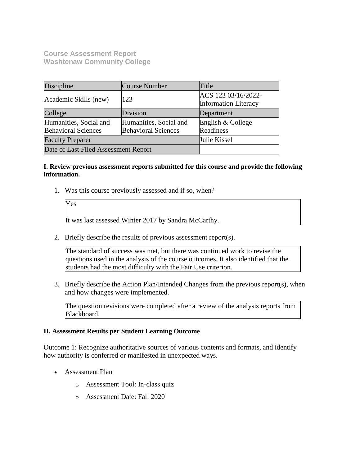**Course Assessment Report Washtenaw Community College**

| Discipline                                           | Course Number                                        | Title                                              |
|------------------------------------------------------|------------------------------------------------------|----------------------------------------------------|
| Academic Skills (new)                                | 123                                                  | ACS 123 03/16/2022-<br><b>Information Literacy</b> |
| College                                              | Division                                             | Department                                         |
| Humanities, Social and<br><b>Behavioral Sciences</b> | Humanities, Social and<br><b>Behavioral Sciences</b> | English & College<br>Readiness                     |
| <b>Faculty Preparer</b>                              |                                                      | Julie Kissel                                       |
| Date of Last Filed Assessment Report                 |                                                      |                                                    |

# **I. Review previous assessment reports submitted for this course and provide the following information.**

1. Was this course previously assessed and if so, when?

Yes

It was last assessed Winter 2017 by Sandra McCarthy.

2. Briefly describe the results of previous assessment report(s).

The standard of success was met, but there was continued work to revise the questions used in the analysis of the course outcomes. It also identified that the students had the most difficulty with the Fair Use criterion.

3. Briefly describe the Action Plan/Intended Changes from the previous report(s), when and how changes were implemented.

The question revisions were completed after a review of the analysis reports from Blackboard.

#### **II. Assessment Results per Student Learning Outcome**

Outcome 1: Recognize authoritative sources of various contents and formats, and identify how authority is conferred or manifested in unexpected ways.

- Assessment Plan
	- o Assessment Tool: In-class quiz
	- o Assessment Date: Fall 2020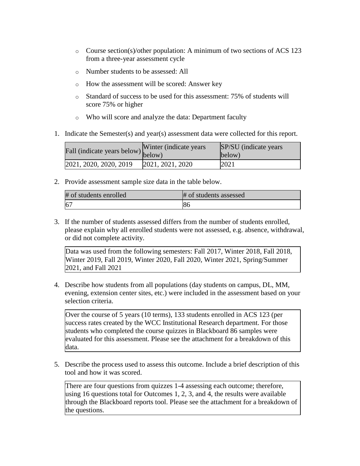- o Course section(s)/other population: A minimum of two sections of ACS 123 from a three-year assessment cycle
- o Number students to be assessed: All
- o How the assessment will be scored: Answer key
- o Standard of success to be used for this assessment: 75% of students will score 75% or higher
- o Who will score and analyze the data: Department faculty
- 1. Indicate the Semester(s) and year(s) assessment data were collected for this report.

| Fall (indicate years below) below) | Winter (indicate years) | SP/SU (indicate years)<br>below) |
|------------------------------------|-------------------------|----------------------------------|
| 2021, 2020, 2020, 2019             | [2021, 2021, 2020]      | 2021                             |

2. Provide assessment sample size data in the table below.

| # of students enrolled | # of students assessed |
|------------------------|------------------------|
| 6 <sup>7</sup>         | 86                     |

3. If the number of students assessed differs from the number of students enrolled, please explain why all enrolled students were not assessed, e.g. absence, withdrawal, or did not complete activity.

Data was used from the following semesters: Fall 2017, Winter 2018, Fall 2018, Winter 2019, Fall 2019, Winter 2020, Fall 2020, Winter 2021, Spring/Summer 2021, and Fall 2021

4. Describe how students from all populations (day students on campus, DL, MM, evening, extension center sites, etc.) were included in the assessment based on your selection criteria.

Over the course of 5 years (10 terms), 133 students enrolled in ACS 123 (per success rates created by the WCC Institutional Research department. For those students who completed the course quizzes in Blackboard 86 samples were evaluated for this assessment. Please see the attachment for a breakdown of this data.

5. Describe the process used to assess this outcome. Include a brief description of this tool and how it was scored.

There are four questions from quizzes 1-4 assessing each outcome; therefore, using 16 questions total for Outcomes 1, 2, 3, and 4, the results were available through the Blackboard reports tool. Please see the attachment for a breakdown of the questions.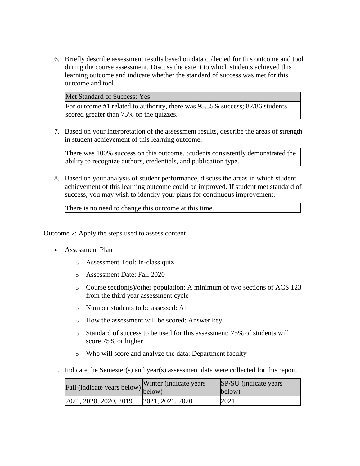6. Briefly describe assessment results based on data collected for this outcome and tool during the course assessment. Discuss the extent to which students achieved this learning outcome and indicate whether the standard of success was met for this outcome and tool.

Met Standard of Success: Yes

For outcome #1 related to authority, there was 95.35% success; 82/86 students scored greater than 75% on the quizzes.

7. Based on your interpretation of the assessment results, describe the areas of strength in student achievement of this learning outcome.

There was 100% success on this outcome. Students consistently demonstrated the ability to recognize authors, credentials, and publication type.

8. Based on your analysis of student performance, discuss the areas in which student achievement of this learning outcome could be improved. If student met standard of success, you may wish to identify your plans for continuous improvement.

There is no need to change this outcome at this time.

Outcome 2: Apply the steps used to assess content.

- Assessment Plan
	- o Assessment Tool: In-class quiz
	- o Assessment Date: Fall 2020
	- o Course section(s)/other population: A minimum of two sections of ACS 123 from the third year assessment cycle
	- o Number students to be assessed: All
	- o How the assessment will be scored: Answer key
	- o Standard of success to be used for this assessment: 75% of students will score 75% or higher
	- o Who will score and analyze the data: Department faculty
- 1. Indicate the Semester(s) and year(s) assessment data were collected for this report.

| Fall (indicate years below) below) | Winter (indicate years) | SP/SU (indicate years)<br>below) |
|------------------------------------|-------------------------|----------------------------------|
| 2021, 2020, 2020, 2019             | [2021, 2021, 2020]      | 2021                             |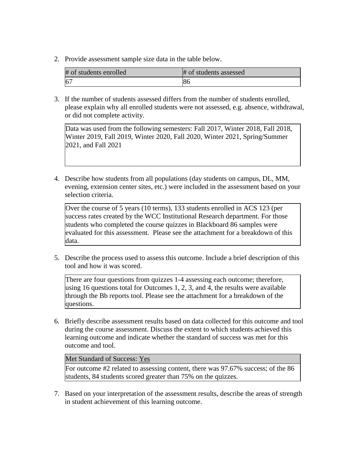2. Provide assessment sample size data in the table below.

| # of students enrolled | # of students assessed |
|------------------------|------------------------|
|                        | 86                     |

3. If the number of students assessed differs from the number of students enrolled, please explain why all enrolled students were not assessed, e.g. absence, withdrawal, or did not complete activity.

Data was used from the following semesters: Fall 2017, Winter 2018, Fall 2018, Winter 2019, Fall 2019, Winter 2020, Fall 2020, Winter 2021, Spring/Summer 2021, and Fall 2021

4. Describe how students from all populations (day students on campus, DL, MM, evening, extension center sites, etc.) were included in the assessment based on your selection criteria.

Over the course of 5 years (10 terms), 133 students enrolled in ACS 123 (per success rates created by the WCC Institutional Research department. For those students who completed the course quizzes in Blackboard 86 samples were evaluated for this assessment. Please see the attachment for a breakdown of this data.

5. Describe the process used to assess this outcome. Include a brief description of this tool and how it was scored.

There are four questions from quizzes 1-4 assessing each outcome; therefore, using 16 questions total for Outcomes 1, 2, 3, and 4, the results were available through the Bb reports tool. Please see the attachment for a breakdown of the questions.

6. Briefly describe assessment results based on data collected for this outcome and tool during the course assessment. Discuss the extent to which students achieved this learning outcome and indicate whether the standard of success was met for this outcome and tool.

# Met Standard of Success: Yes

For outcome #2 related to assessing content, there was 97.67% success; of the 86 students, 84 students scored greater than 75% on the quizzes.

7. Based on your interpretation of the assessment results, describe the areas of strength in student achievement of this learning outcome.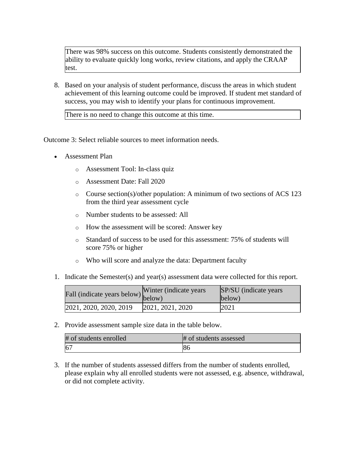There was 98% success on this outcome. Students consistently demonstrated the ability to evaluate quickly long works, review citations, and apply the CRAAP test.

8. Based on your analysis of student performance, discuss the areas in which student achievement of this learning outcome could be improved. If student met standard of success, you may wish to identify your plans for continuous improvement.

There is no need to change this outcome at this time.

Outcome 3: Select reliable sources to meet information needs.

- Assessment Plan
	- o Assessment Tool: In-class quiz
	- o Assessment Date: Fall 2020
	- o Course section(s)/other population: A minimum of two sections of ACS 123 from the third year assessment cycle
	- o Number students to be assessed: All
	- o How the assessment will be scored: Answer key
	- o Standard of success to be used for this assessment: 75% of students will score 75% or higher
	- o Who will score and analyze the data: Department faculty
- 1. Indicate the Semester(s) and year(s) assessment data were collected for this report.

| Fall (indicate years below) below) | Winter (indicate years) | SP/SU (indicate years)<br>below) |
|------------------------------------|-------------------------|----------------------------------|
| 2021, 2020, 2020, 2019             | [2021, 2021, 2020]      | 2021                             |

2. Provide assessment sample size data in the table below.

| # of students enrolled | # of students assessed |
|------------------------|------------------------|
| 6 <sup>7</sup>         | ιoσ                    |

3. If the number of students assessed differs from the number of students enrolled, please explain why all enrolled students were not assessed, e.g. absence, withdrawal, or did not complete activity.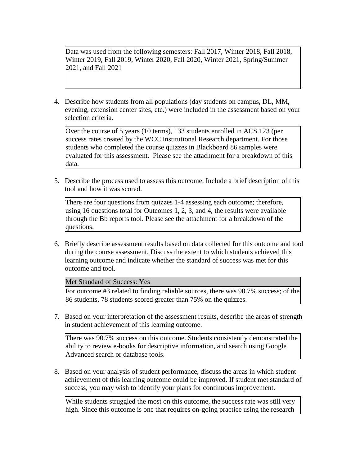Data was used from the following semesters: Fall 2017, Winter 2018, Fall 2018, Winter 2019, Fall 2019, Winter 2020, Fall 2020, Winter 2021, Spring/Summer 2021, and Fall 2021

4. Describe how students from all populations (day students on campus, DL, MM, evening, extension center sites, etc.) were included in the assessment based on your selection criteria.

Over the course of 5 years (10 terms), 133 students enrolled in ACS 123 (per success rates created by the WCC Institutional Research department. For those students who completed the course quizzes in Blackboard 86 samples were evaluated for this assessment. Please see the attachment for a breakdown of this data.

5. Describe the process used to assess this outcome. Include a brief description of this tool and how it was scored.

There are four questions from quizzes 1-4 assessing each outcome; therefore, using 16 questions total for Outcomes 1, 2, 3, and 4, the results were available through the Bb reports tool. Please see the attachment for a breakdown of the questions.

6. Briefly describe assessment results based on data collected for this outcome and tool during the course assessment. Discuss the extent to which students achieved this learning outcome and indicate whether the standard of success was met for this outcome and tool.

#### Met Standard of Success: Yes

For outcome #3 related to finding reliable sources, there was 90.7% success; of the 86 students, 78 students scored greater than 75% on the quizzes.

7. Based on your interpretation of the assessment results, describe the areas of strength in student achievement of this learning outcome.

There was 90.7% success on this outcome. Students consistently demonstrated the ability to review e-books for descriptive information, and search using Google Advanced search or database tools.

8. Based on your analysis of student performance, discuss the areas in which student achievement of this learning outcome could be improved. If student met standard of success, you may wish to identify your plans for continuous improvement.

While students struggled the most on this outcome, the success rate was still very high. Since this outcome is one that requires on-going practice using the research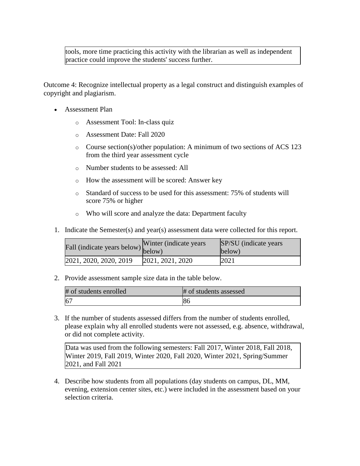tools, more time practicing this activity with the librarian as well as independent practice could improve the students' success further.

Outcome 4: Recognize intellectual property as a legal construct and distinguish examples of copyright and plagiarism.

- Assessment Plan
	- o Assessment Tool: In-class quiz
	- o Assessment Date: Fall 2020
	- o Course section(s)/other population: A minimum of two sections of ACS 123 from the third year assessment cycle
	- o Number students to be assessed: All
	- o How the assessment will be scored: Answer key
	- o Standard of success to be used for this assessment: 75% of students will score 75% or higher
	- o Who will score and analyze the data: Department faculty
- 1. Indicate the Semester(s) and year(s) assessment data were collected for this report.

| all (indicate years below) below) | Winter (indicate years) | SP/SU (indicate years)<br>below) |
|-----------------------------------|-------------------------|----------------------------------|
| 2021, 2020, 2020, 2019            | [2021, 2021, 2020]      | 2021                             |

2. Provide assessment sample size data in the table below.

| # of students enrolled | # of students assessed |
|------------------------|------------------------|
| 6 <sup>7</sup>         | юс                     |

3. If the number of students assessed differs from the number of students enrolled, please explain why all enrolled students were not assessed, e.g. absence, withdrawal, or did not complete activity.

Data was used from the following semesters: Fall 2017, Winter 2018, Fall 2018, Winter 2019, Fall 2019, Winter 2020, Fall 2020, Winter 2021, Spring/Summer 2021, and Fall 2021

4. Describe how students from all populations (day students on campus, DL, MM, evening, extension center sites, etc.) were included in the assessment based on your selection criteria.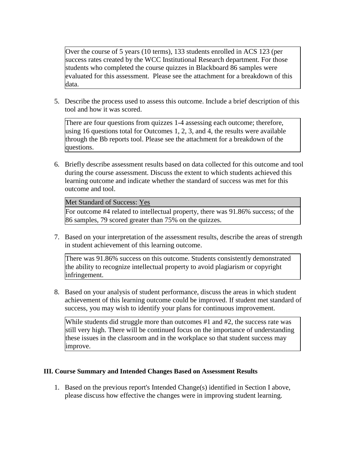Over the course of 5 years (10 terms), 133 students enrolled in ACS 123 (per success rates created by the WCC Institutional Research department. For those students who completed the course quizzes in Blackboard 86 samples were evaluated for this assessment. Please see the attachment for a breakdown of this data.

5. Describe the process used to assess this outcome. Include a brief description of this tool and how it was scored.

There are four questions from quizzes 1-4 assessing each outcome; therefore, using 16 questions total for Outcomes 1, 2, 3, and 4, the results were available through the Bb reports tool. Please see the attachment for a breakdown of the questions.

6. Briefly describe assessment results based on data collected for this outcome and tool during the course assessment. Discuss the extent to which students achieved this learning outcome and indicate whether the standard of success was met for this outcome and tool.

Met Standard of Success: Yes

For outcome #4 related to intellectual property, there was 91.86% success; of the 86 samples, 79 scored greater than 75% on the quizzes.

7. Based on your interpretation of the assessment results, describe the areas of strength in student achievement of this learning outcome.

There was 91.86% success on this outcome. Students consistently demonstrated the ability to recognize intellectual property to avoid plagiarism or copyright infringement.

8. Based on your analysis of student performance, discuss the areas in which student achievement of this learning outcome could be improved. If student met standard of success, you may wish to identify your plans for continuous improvement.

While students did struggle more than outcomes #1 and #2, the success rate was still very high. There will be continued focus on the importance of understanding these issues in the classroom and in the workplace so that student success may improve.

# **III. Course Summary and Intended Changes Based on Assessment Results**

1. Based on the previous report's Intended Change(s) identified in Section I above, please discuss how effective the changes were in improving student learning.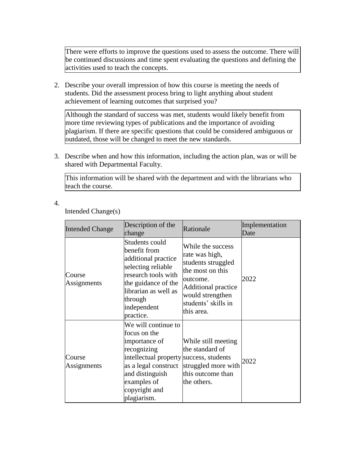There were efforts to improve the questions used to assess the outcome. There will be continued discussions and time spent evaluating the questions and defining the activities used to teach the concepts.

2. Describe your overall impression of how this course is meeting the needs of students. Did the assessment process bring to light anything about student achievement of learning outcomes that surprised you?

Although the standard of success was met, students would likely benefit from more time reviewing types of publications and the importance of avoiding plagiarism. If there are specific questions that could be considered ambiguous or outdated, those will be changed to meet the new standards.

3. Describe when and how this information, including the action plan, was or will be shared with Departmental Faculty.

This information will be shared with the department and with the librarians who teach the course.

4.

Intended Change(s)

| <b>Intended Change</b> | Description of the<br>change                                                                                                                                                                             | Rationale                                                                                                                                                                        | Implementation<br>Date |
|------------------------|----------------------------------------------------------------------------------------------------------------------------------------------------------------------------------------------------------|----------------------------------------------------------------------------------------------------------------------------------------------------------------------------------|------------------------|
| Course<br>Assignments  | Students could<br>benefit from<br>additional practice<br>selecting reliable<br>research tools with<br>the guidance of the<br>librarian as well as<br>through<br>independent<br>practice.                 | While the success<br>rate was high,<br>students struggled<br>the most on this<br>outcome.<br><b>Additional practice</b><br>would strengthen<br>students' skills in<br>this area. | 2022                   |
| Course<br>Assignments  | We will continue to<br>focus on the<br>importance of<br>recognizing<br>intellectual property success, students<br>as a legal construct<br>and distinguish<br>examples of<br>copyright and<br>plagiarism. | While still meeting<br>the standard of<br>struggled more with<br>this outcome than<br>the others.                                                                                | 2022                   |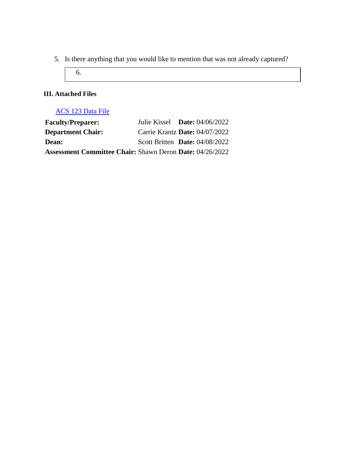5. Is there anything that you would like to mention that was not already captured?

6.

# **III. Attached Files**

# [ACS 123 Data File](documents/ACS%20123%20Assessment%20data%202021%20with%20alignment%20(April%202022)1.docx)

| <b>Faculty/Preparer:</b>                                        | Julie Kissel Date: $04/06/2022$  |  |
|-----------------------------------------------------------------|----------------------------------|--|
| <b>Department Chair:</b>                                        | Carrie Krantz Date: 04/07/2022   |  |
| <b>Dean:</b>                                                    | Scott Britten Date: $04/08/2022$ |  |
| <b>Assessment Committee Chair: Shawn Deron Date: 04/26/2022</b> |                                  |  |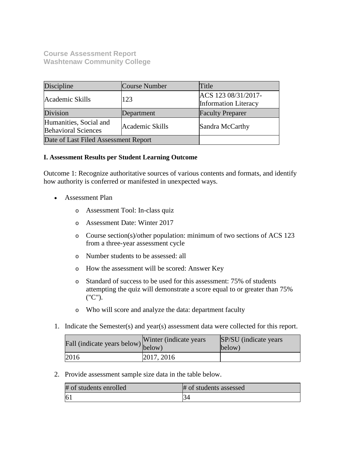**Course Assessment Report Washtenaw Community College**

| Discipline                                                              | Course Number | Title                                              |
|-------------------------------------------------------------------------|---------------|----------------------------------------------------|
| Academic Skills                                                         | 123           | ACS 123 08/31/2017-<br><b>Information Literacy</b> |
| Division                                                                | Department    | <b>Faculty Preparer</b>                            |
| Humanities, Social and<br>Academic Skills<br><b>Behavioral Sciences</b> |               | Sandra McCarthy                                    |
| Date of Last Filed Assessment Report                                    |               |                                                    |

# **I. Assessment Results per Student Learning Outcome**

Outcome 1: Recognize authoritative sources of various contents and formats, and identify how authority is conferred or manifested in unexpected ways.

- Assessment Plan
	- o Assessment Tool: In-class quiz
	- o Assessment Date: Winter 2017
	- o Course section(s)/other population: minimum of two sections of ACS 123 from a three-year assessment cycle
	- o Number students to be assessed: all
	- o How the assessment will be scored: Answer Key
	- o Standard of success to be used for this assessment: 75% of students attempting the quiz will demonstrate a score equal to or greater than 75% ("C").
	- o Who will score and analyze the data: department faculty
- 1. Indicate the Semester(s) and year(s) assessment data were collected for this report.

| r'all (indicate years below) below) | Winter (indicate years) | SP/SU (indicate years)<br>below) |
|-------------------------------------|-------------------------|----------------------------------|
| 2016                                | 2017, 2016              |                                  |

2. Provide assessment sample size data in the table below.

| # of students enrolled | # of students assessed |
|------------------------|------------------------|
| $\overline{6}$         |                        |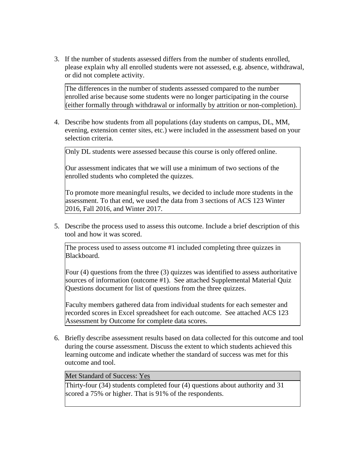3. If the number of students assessed differs from the number of students enrolled, please explain why all enrolled students were not assessed, e.g. absence, withdrawal, or did not complete activity.

The differences in the number of students assessed compared to the number enrolled arise because some students were no longer participating in the course (either formally through withdrawal or informally by attrition or non-completion).

4. Describe how students from all populations (day students on campus, DL, MM, evening, extension center sites, etc.) were included in the assessment based on your selection criteria.

Only DL students were assessed because this course is only offered online.

Our assessment indicates that we will use a minimum of two sections of the enrolled students who completed the quizzes.

To promote more meaningful results, we decided to include more students in the assessment. To that end, we used the data from 3 sections of ACS 123 Winter 2016, Fall 2016, and Winter 2017.

5. Describe the process used to assess this outcome. Include a brief description of this tool and how it was scored.

The process used to assess outcome #1 included completing three quizzes in Blackboard.

Four (4) questions from the three (3) quizzes was identified to assess authoritative sources of information (outcome #1). See attached Supplemental Material Quiz Questions document for list of questions from the three quizzes.

Faculty members gathered data from individual students for each semester and recorded scores in Excel spreadsheet for each outcome. See attached ACS 123 Assessment by Outcome for complete data scores.

6. Briefly describe assessment results based on data collected for this outcome and tool during the course assessment. Discuss the extent to which students achieved this learning outcome and indicate whether the standard of success was met for this outcome and tool.

Met Standard of Success: Yes

Thirty-four (34) students completed four (4) questions about authority and 31 scored a 75% or higher. That is 91% of the respondents.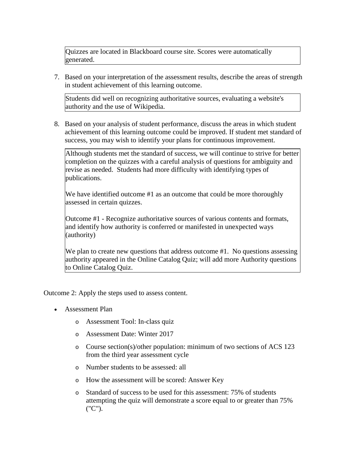Quizzes are located in Blackboard course site. Scores were automatically generated.

7. Based on your interpretation of the assessment results, describe the areas of strength in student achievement of this learning outcome.

Students did well on recognizing authoritative sources, evaluating a website's authority and the use of Wikipedia.

8. Based on your analysis of student performance, discuss the areas in which student achievement of this learning outcome could be improved. If student met standard of success, you may wish to identify your plans for continuous improvement.

Although students met the standard of success, we will continue to strive for better completion on the quizzes with a careful analysis of questions for ambiguity and revise as needed. Students had more difficulty with identifying types of publications.

We have identified outcome #1 as an outcome that could be more thoroughly assessed in certain quizzes.

Outcome #1 - Recognize authoritative sources of various contents and formats, and identify how authority is conferred or manifested in unexpected ways (authority)

We plan to create new questions that address outcome #1. No questions assessing authority appeared in the Online Catalog Quiz; will add more Authority questions to Online Catalog Quiz.

Outcome 2: Apply the steps used to assess content.

- Assessment Plan
	- o Assessment Tool: In-class quiz
	- o Assessment Date: Winter 2017
	- o Course section(s)/other population: minimum of two sections of ACS 123 from the third year assessment cycle
	- o Number students to be assessed: all
	- o How the assessment will be scored: Answer Key
	- o Standard of success to be used for this assessment: 75% of students attempting the quiz will demonstrate a score equal to or greater than 75% ("C").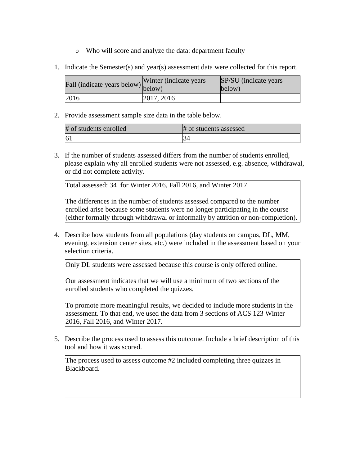- o Who will score and analyze the data: department faculty
- 1. Indicate the Semester(s) and year(s) assessment data were collected for this report.

| $\angle$ all (indicate years below) $\begin{bmatrix} 1 & 1 \\ 1 & 1 \end{bmatrix}$ | Winter (indicate years) | SP/SU (indicate years)<br>below) |
|------------------------------------------------------------------------------------|-------------------------|----------------------------------|
| 2016                                                                               | 2017, 2016              |                                  |

2. Provide assessment sample size data in the table below.

| # of students enrolled | # of students assessed |
|------------------------|------------------------|
| 16.                    | .34                    |

3. If the number of students assessed differs from the number of students enrolled, please explain why all enrolled students were not assessed, e.g. absence, withdrawal, or did not complete activity.

Total assessed: 34 for Winter 2016, Fall 2016, and Winter 2017

The differences in the number of students assessed compared to the number enrolled arise because some students were no longer participating in the course (either formally through withdrawal or informally by attrition or non-completion).

4. Describe how students from all populations (day students on campus, DL, MM, evening, extension center sites, etc.) were included in the assessment based on your selection criteria.

Only DL students were assessed because this course is only offered online.

Our assessment indicates that we will use a minimum of two sections of the enrolled students who completed the quizzes.

To promote more meaningful results, we decided to include more students in the assessment. To that end, we used the data from 3 sections of ACS 123 Winter 2016, Fall 2016, and Winter 2017.

5. Describe the process used to assess this outcome. Include a brief description of this tool and how it was scored.

The process used to assess outcome #2 included completing three quizzes in Blackboard.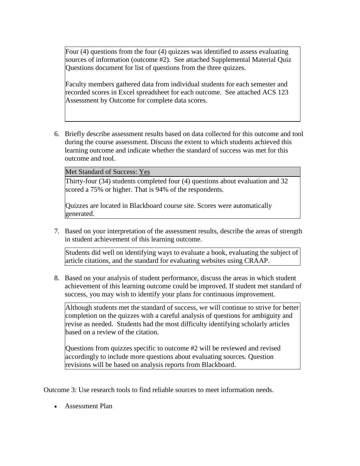Four (4) questions from the four (4) quizzes was identified to assess evaluating sources of information (outcome #2). See attached Supplemental Material Quiz Questions document for list of questions from the three quizzes.

Faculty members gathered data from individual students for each semester and recorded scores in Excel spreadsheet for each outcome. See attached ACS 123 Assessment by Outcome for complete data scores.

6. Briefly describe assessment results based on data collected for this outcome and tool during the course assessment. Discuss the extent to which students achieved this learning outcome and indicate whether the standard of success was met for this outcome and tool.

Met Standard of Success: Yes

Thirty-four (34) students completed four (4) questions about evaluation and 32 scored a 75% or higher. That is 94% of the respondents.

Quizzes are located in Blackboard course site. Scores were automatically generated.

7. Based on your interpretation of the assessment results, describe the areas of strength in student achievement of this learning outcome.

Students did well on identifying ways to evaluate a book, evaluating the subject of article citations, and the standard for evaluating websites using CRAAP.

8. Based on your analysis of student performance, discuss the areas in which student achievement of this learning outcome could be improved. If student met standard of success, you may wish to identify your plans for continuous improvement.

Although students met the standard of success, we will continue to strive for better completion on the quizzes with a careful analysis of questions for ambiguity and revise as needed. Students had the most difficulty identifying scholarly articles based on a review of the citation.

Questions from quizzes specific to outcome #2 will be reviewed and revised accordingly to include more questions about evaluating sources. Question revisions will be based on analysis reports from Blackboard.

Outcome 3: Use research tools to find reliable sources to meet information needs.

• Assessment Plan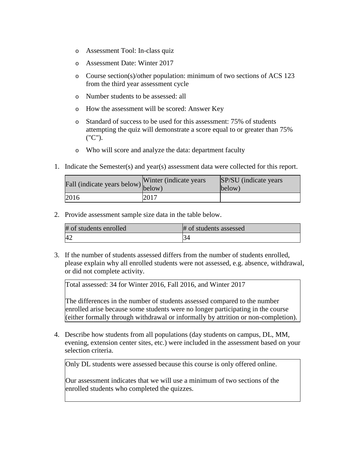- o Assessment Tool: In-class quiz
- o Assessment Date: Winter 2017
- o Course section(s)/other population: minimum of two sections of ACS 123 from the third year assessment cycle
- o Number students to be assessed: all
- o How the assessment will be scored: Answer Key
- o Standard of success to be used for this assessment: 75% of students attempting the quiz will demonstrate a score equal to or greater than 75% ("C").
- o Who will score and analyze the data: department faculty
- 1. Indicate the Semester(s) and year(s) assessment data were collected for this report.

| rall (indicate years below) below) | Winter (indicate years) | SP/SU (indicate years)<br>below) |
|------------------------------------|-------------------------|----------------------------------|
| 2016                               | 2017                    |                                  |

2. Provide assessment sample size data in the table below.

| # of students enrolled | # of students assessed |
|------------------------|------------------------|
| 42                     |                        |

3. If the number of students assessed differs from the number of students enrolled, please explain why all enrolled students were not assessed, e.g. absence, withdrawal, or did not complete activity.

Total assessed: 34 for Winter 2016, Fall 2016, and Winter 2017

The differences in the number of students assessed compared to the number enrolled arise because some students were no longer participating in the course (either formally through withdrawal or informally by attrition or non-completion).

4. Describe how students from all populations (day students on campus, DL, MM, evening, extension center sites, etc.) were included in the assessment based on your selection criteria.

Only DL students were assessed because this course is only offered online.

Our assessment indicates that we will use a minimum of two sections of the enrolled students who completed the quizzes.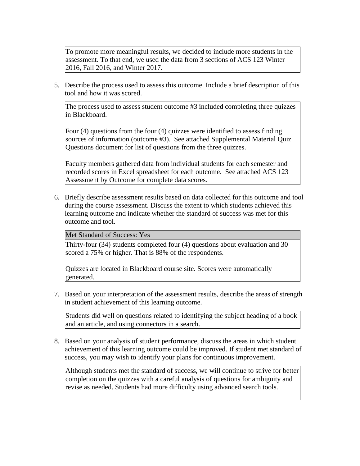To promote more meaningful results, we decided to include more students in the assessment. To that end, we used the data from 3 sections of ACS 123 Winter 2016, Fall 2016, and Winter 2017.

5. Describe the process used to assess this outcome. Include a brief description of this tool and how it was scored.

The process used to assess student outcome #3 included completing three quizzes in Blackboard.

Four (4) questions from the four (4) quizzes were identified to assess finding sources of information (outcome #3). See attached Supplemental Material Quiz Questions document for list of questions from the three quizzes.

Faculty members gathered data from individual students for each semester and recorded scores in Excel spreadsheet for each outcome. See attached ACS 123 Assessment by Outcome for complete data scores.

6. Briefly describe assessment results based on data collected for this outcome and tool during the course assessment. Discuss the extent to which students achieved this learning outcome and indicate whether the standard of success was met for this outcome and tool.

Met Standard of Success: Yes

Thirty-four (34) students completed four (4) questions about evaluation and 30 scored a 75% or higher. That is 88% of the respondents.

Quizzes are located in Blackboard course site. Scores were automatically generated.

7. Based on your interpretation of the assessment results, describe the areas of strength in student achievement of this learning outcome.

Students did well on questions related to identifying the subject heading of a book and an article, and using connectors in a search.

8. Based on your analysis of student performance, discuss the areas in which student achievement of this learning outcome could be improved. If student met standard of success, you may wish to identify your plans for continuous improvement.

Although students met the standard of success, we will continue to strive for better completion on the quizzes with a careful analysis of questions for ambiguity and revise as needed. Students had more difficulty using advanced search tools.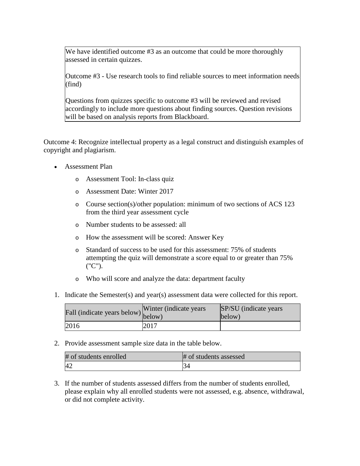We have identified outcome #3 as an outcome that could be more thoroughly assessed in certain quizzes.

Outcome #3 - Use research tools to find reliable sources to meet information needs (find)

Questions from quizzes specific to outcome #3 will be reviewed and revised accordingly to include more questions about finding sources. Question revisions will be based on analysis reports from Blackboard.

Outcome 4: Recognize intellectual property as a legal construct and distinguish examples of copyright and plagiarism.

- Assessment Plan
	- o Assessment Tool: In-class quiz
	- o Assessment Date: Winter 2017
	- o Course section(s)/other population: minimum of two sections of ACS 123 from the third year assessment cycle
	- o Number students to be assessed: all
	- o How the assessment will be scored: Answer Key
	- o Standard of success to be used for this assessment: 75% of students attempting the quiz will demonstrate a score equal to or greater than 75% ("C").
	- o Who will score and analyze the data: department faculty
- 1. Indicate the Semester(s) and year(s) assessment data were collected for this report.

| $\hat{F}$ all (indicate years below) $\begin{bmatrix} 1 & 1 \\ 1 & 1 \end{bmatrix}$ | Winter (indicate years) | SP/SU (indicate years)<br>below) |
|-------------------------------------------------------------------------------------|-------------------------|----------------------------------|
| 2016                                                                                | 2017                    |                                  |

2. Provide assessment sample size data in the table below.

| # of students enrolled | # of students assessed |
|------------------------|------------------------|
| 42                     | - 34                   |

3. If the number of students assessed differs from the number of students enrolled, please explain why all enrolled students were not assessed, e.g. absence, withdrawal, or did not complete activity.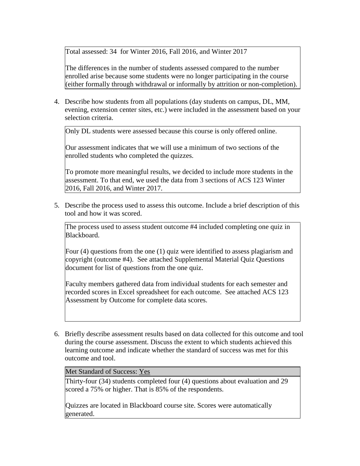Total assessed: 34 for Winter 2016, Fall 2016, and Winter 2017

The differences in the number of students assessed compared to the number enrolled arise because some students were no longer participating in the course (either formally through withdrawal or informally by attrition or non-completion).

4. Describe how students from all populations (day students on campus, DL, MM, evening, extension center sites, etc.) were included in the assessment based on your selection criteria.

Only DL students were assessed because this course is only offered online.

Our assessment indicates that we will use a minimum of two sections of the enrolled students who completed the quizzes.

To promote more meaningful results, we decided to include more students in the assessment. To that end, we used the data from 3 sections of ACS 123 Winter 2016, Fall 2016, and Winter 2017.

5. Describe the process used to assess this outcome. Include a brief description of this tool and how it was scored.

The process used to assess student outcome #4 included completing one quiz in Blackboard.

Four (4) questions from the one (1) quiz were identified to assess plagiarism and copyright (outcome #4). See attached Supplemental Material Quiz Questions document for list of questions from the one quiz.

Faculty members gathered data from individual students for each semester and recorded scores in Excel spreadsheet for each outcome. See attached ACS 123 Assessment by Outcome for complete data scores.

6. Briefly describe assessment results based on data collected for this outcome and tool during the course assessment. Discuss the extent to which students achieved this learning outcome and indicate whether the standard of success was met for this outcome and tool.

Met Standard of Success: Yes

Thirty-four (34) students completed four (4) questions about evaluation and 29 scored a 75% or higher. That is 85% of the respondents.

Quizzes are located in Blackboard course site. Scores were automatically generated.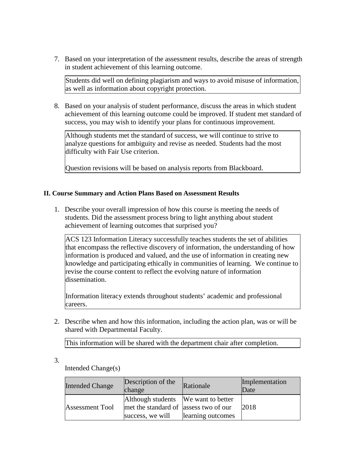7. Based on your interpretation of the assessment results, describe the areas of strength in student achievement of this learning outcome.

Students did well on defining plagiarism and ways to avoid misuse of information, as well as information about copyright protection.

8. Based on your analysis of student performance, discuss the areas in which student achievement of this learning outcome could be improved. If student met standard of success, you may wish to identify your plans for continuous improvement.

Although students met the standard of success, we will continue to strive to analyze questions for ambiguity and revise as needed. Students had the most difficulty with Fair Use criterion.

Question revisions will be based on analysis reports from Blackboard.

# **II. Course Summary and Action Plans Based on Assessment Results**

1. Describe your overall impression of how this course is meeting the needs of students. Did the assessment process bring to light anything about student achievement of learning outcomes that surprised you?

ACS 123 Information Literacy successfully teaches students the set of abilities that encompass the reflective discovery of information, the understanding of how information is produced and valued, and the use of information in creating new knowledge and participating ethically in communities of learning. We continue to revise the course content to reflect the evolving nature of information dissemination.

Information literacy extends throughout students' academic and professional careers.

2. Describe when and how this information, including the action plan, was or will be shared with Departmental Faculty.

This information will be shared with the department chair after completion.

3.

Intended Change(s)

| Intended Change        | Description of the<br>change                                                                     | Rationale         | Implementation<br>Date |
|------------------------|--------------------------------------------------------------------------------------------------|-------------------|------------------------|
| <b>Assessment Tool</b> | Although students We want to better<br>met the standard of assess two of our<br>success, we will | learning outcomes | 2018                   |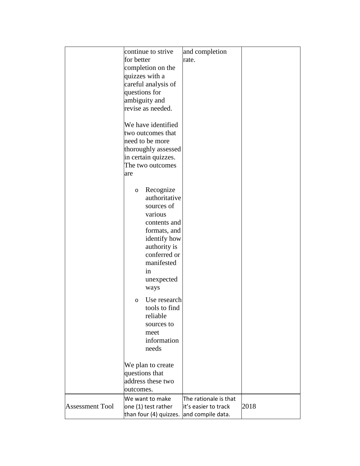|                        | continue to strive      | and completion        |      |
|------------------------|-------------------------|-----------------------|------|
|                        | for better              | rate.                 |      |
|                        | completion on the       |                       |      |
|                        | quizzes with a          |                       |      |
|                        | careful analysis of     |                       |      |
|                        | questions for           |                       |      |
|                        |                         |                       |      |
|                        | ambiguity and           |                       |      |
|                        | revise as needed.       |                       |      |
|                        | We have identified      |                       |      |
|                        |                         |                       |      |
|                        | two outcomes that       |                       |      |
|                        | need to be more         |                       |      |
|                        | thoroughly assessed     |                       |      |
|                        | in certain quizzes.     |                       |      |
|                        | The two outcomes        |                       |      |
|                        | are                     |                       |      |
|                        |                         |                       |      |
|                        | Recognize<br>O          |                       |      |
|                        | authoritative           |                       |      |
|                        | sources of              |                       |      |
|                        | various                 |                       |      |
|                        | contents and            |                       |      |
|                        | formats, and            |                       |      |
|                        | identify how            |                       |      |
|                        |                         |                       |      |
|                        | authority is            |                       |      |
|                        | conferred or            |                       |      |
|                        | manifested              |                       |      |
|                        | in                      |                       |      |
|                        | unexpected              |                       |      |
|                        | ways                    |                       |      |
|                        | Use research<br>$\circ$ |                       |      |
|                        | tools to find           |                       |      |
|                        | reliable                |                       |      |
|                        | sources to              |                       |      |
|                        | meet                    |                       |      |
|                        | information             |                       |      |
|                        | needs                   |                       |      |
|                        |                         |                       |      |
|                        | We plan to create       |                       |      |
|                        | questions that          |                       |      |
|                        | address these two       |                       |      |
|                        |                         |                       |      |
|                        | outcomes.               |                       |      |
|                        | We want to make         | The rationale is that |      |
| <b>Assessment Tool</b> | one (1) test rather     | it's easier to track  | 2018 |
|                        | than four (4) quizzes.  | and compile data.     |      |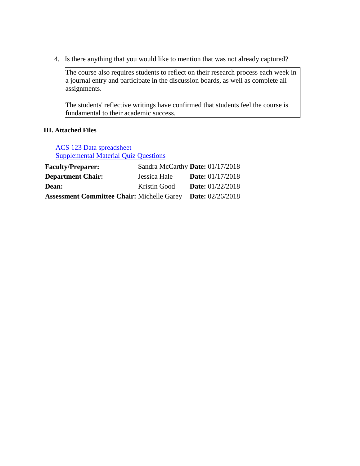4. Is there anything that you would like to mention that was not already captured?

The course also requires students to reflect on their research process each week in a journal entry and participate in the discussion boards, as well as complete all assignments.

The students' reflective writings have confirmed that students feel the course is fundamental to their academic success.

# **III. Attached Files**

ACS 123 Data spreadsheet Supplemental Material Quiz Questions

| <b>Faculty/Preparer:</b>                          |              | Sandra McCarthy Date: 01/17/2018 |
|---------------------------------------------------|--------------|----------------------------------|
| <b>Department Chair:</b>                          | Jessica Hale | <b>Date:</b> $01/17/2018$        |
| <b>Dean:</b>                                      | Kristin Good | <b>Date:</b> $01/22/2018$        |
| <b>Assessment Committee Chair: Michelle Garey</b> |              | <b>Date:</b> $02/26/2018$        |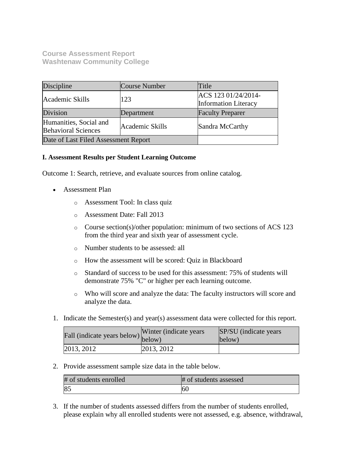**Course Assessment Report Washtenaw Community College**

| Discipline                                                              | Course Number | Title                                              |
|-------------------------------------------------------------------------|---------------|----------------------------------------------------|
| Academic Skills                                                         | 123           | ACS 123 01/24/2014-<br><b>Information Literacy</b> |
| Division                                                                | Department    | <b>Faculty Preparer</b>                            |
| Humanities, Social and<br>Academic Skills<br><b>Behavioral Sciences</b> |               | Sandra McCarthy                                    |
| Date of Last Filed Assessment Report                                    |               |                                                    |

# **I. Assessment Results per Student Learning Outcome**

Outcome 1: Search, retrieve, and evaluate sources from online catalog.

- Assessment Plan
	- o Assessment Tool: In class quiz
	- o Assessment Date: Fall 2013
	- o Course section(s)/other population: minimum of two sections of ACS 123 from the third year and sixth year of assessment cycle.
	- o Number students to be assessed: all
	- o How the assessment will be scored: Quiz in Blackboard
	- o Standard of success to be used for this assessment: 75% of students will demonstrate 75% "C" or higher per each learning outcome.
	- o Who will score and analyze the data: The faculty instructors will score and analyze the data.
- 1. Indicate the Semester(s) and year(s) assessment data were collected for this report.

| fall (indicate years below) below) | Winter (indicate years) | SP/SU (indicate years)<br>below) |
|------------------------------------|-------------------------|----------------------------------|
| 2013, 2012                         | 2013, 2012              |                                  |

2. Provide assessment sample size data in the table below.

| # of students enrolled | # of students assessed |
|------------------------|------------------------|
| 85                     | 60                     |

3. If the number of students assessed differs from the number of students enrolled, please explain why all enrolled students were not assessed, e.g. absence, withdrawal,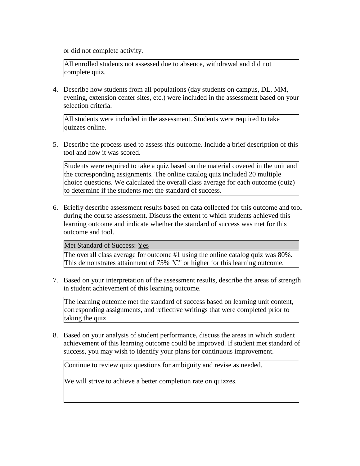or did not complete activity.

All enrolled students not assessed due to absence, withdrawal and did not complete quiz.

4. Describe how students from all populations (day students on campus, DL, MM, evening, extension center sites, etc.) were included in the assessment based on your selection criteria.

All students were included in the assessment. Students were required to take quizzes online.

5. Describe the process used to assess this outcome. Include a brief description of this tool and how it was scored.

Students were required to take a quiz based on the material covered in the unit and the corresponding assignments. The online catalog quiz included 20 multiple choice questions. We calculated the overall class average for each outcome (quiz) to determine if the students met the standard of success.

6. Briefly describe assessment results based on data collected for this outcome and tool during the course assessment. Discuss the extent to which students achieved this learning outcome and indicate whether the standard of success was met for this outcome and tool.

#### Met Standard of Success: Yes

The overall class average for outcome #1 using the online catalog quiz was 80%. This demonstrates attainment of 75% "C" or higher for this learning outcome.

7. Based on your interpretation of the assessment results, describe the areas of strength in student achievement of this learning outcome.

The learning outcome met the standard of success based on learning unit content, corresponding assignments, and reflective writings that were completed prior to taking the quiz.

8. Based on your analysis of student performance, discuss the areas in which student achievement of this learning outcome could be improved. If student met standard of success, you may wish to identify your plans for continuous improvement.

Continue to review quiz questions for ambiguity and revise as needed.

We will strive to achieve a better completion rate on quizzes.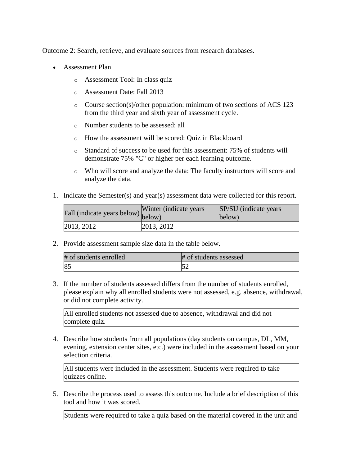Outcome 2: Search, retrieve, and evaluate sources from research databases.

- Assessment Plan
	- o Assessment Tool: In class quiz
	- o Assessment Date: Fall 2013
	- o Course section(s)/other population: minimum of two sections of ACS 123 from the third year and sixth year of assessment cycle.
	- o Number students to be assessed: all
	- o How the assessment will be scored: Quiz in Blackboard
	- o Standard of success to be used for this assessment: 75% of students will demonstrate 75% "C" or higher per each learning outcome.
	- o Who will score and analyze the data: The faculty instructors will score and analyze the data.
- 1. Indicate the Semester(s) and year(s) assessment data were collected for this report.

| Fall (indicate years below) below) | Winter (indicate years) | SP/SU (indicate years)<br>below) |
|------------------------------------|-------------------------|----------------------------------|
| 2013, 2012                         | $ 2013, 2012\rangle$    |                                  |

2. Provide assessment sample size data in the table below.

| # of students enrolled | # of students assessed |
|------------------------|------------------------|
| 85                     |                        |

3. If the number of students assessed differs from the number of students enrolled, please explain why all enrolled students were not assessed, e.g. absence, withdrawal, or did not complete activity.

All enrolled students not assessed due to absence, withdrawal and did not complete quiz.

4. Describe how students from all populations (day students on campus, DL, MM, evening, extension center sites, etc.) were included in the assessment based on your selection criteria.

All students were included in the assessment. Students were required to take quizzes online.

5. Describe the process used to assess this outcome. Include a brief description of this tool and how it was scored.

Students were required to take a quiz based on the material covered in the unit and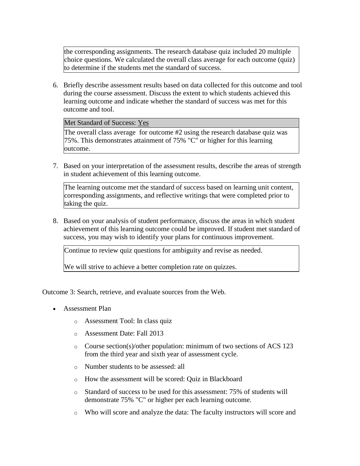the corresponding assignments. The research database quiz included 20 multiple choice questions. We calculated the overall class average for each outcome (quiz) to determine if the students met the standard of success.

6. Briefly describe assessment results based on data collected for this outcome and tool during the course assessment. Discuss the extent to which students achieved this learning outcome and indicate whether the standard of success was met for this outcome and tool.

# Met Standard of Success: Yes

The overall class average for outcome #2 using the research database quiz was 75%. This demonstrates attainment of 75% "C" or higher for this learning outcome.

7. Based on your interpretation of the assessment results, describe the areas of strength in student achievement of this learning outcome.

The learning outcome met the standard of success based on learning unit content, corresponding assignments, and reflective writings that were completed prior to taking the quiz.

8. Based on your analysis of student performance, discuss the areas in which student achievement of this learning outcome could be improved. If student met standard of success, you may wish to identify your plans for continuous improvement.

Continue to review quiz questions for ambiguity and revise as needed.

We will strive to achieve a better completion rate on quizzes.

Outcome 3: Search, retrieve, and evaluate sources from the Web.

- Assessment Plan
	- o Assessment Tool: In class quiz
	- o Assessment Date: Fall 2013
	- o Course section(s)/other population: minimum of two sections of ACS 123 from the third year and sixth year of assessment cycle.
	- o Number students to be assessed: all
	- o How the assessment will be scored: Quiz in Blackboard
	- o Standard of success to be used for this assessment: 75% of students will demonstrate 75% "C" or higher per each learning outcome.
	- o Who will score and analyze the data: The faculty instructors will score and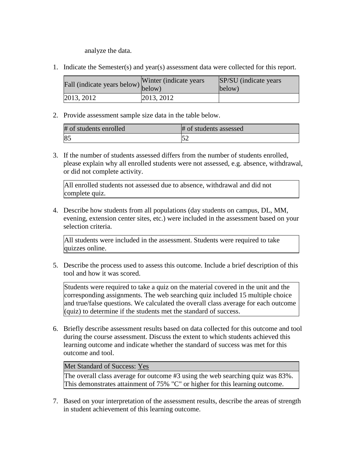analyze the data.

1. Indicate the Semester(s) and year(s) assessment data were collected for this report.

| Fall (indicate years below) below) | Winter (indicate years) | SP/SU (indicate years)<br>below) |
|------------------------------------|-------------------------|----------------------------------|
| 2013, 2012                         | 2013, 2012              |                                  |

2. Provide assessment sample size data in the table below.

| # of students enrolled | # of students assessed |
|------------------------|------------------------|
| 85                     | $\sim$                 |

3. If the number of students assessed differs from the number of students enrolled, please explain why all enrolled students were not assessed, e.g. absence, withdrawal, or did not complete activity.

All enrolled students not assessed due to absence, withdrawal and did not complete quiz.

4. Describe how students from all populations (day students on campus, DL, MM, evening, extension center sites, etc.) were included in the assessment based on your selection criteria.

All students were included in the assessment. Students were required to take quizzes online.

5. Describe the process used to assess this outcome. Include a brief description of this tool and how it was scored.

Students were required to take a quiz on the material covered in the unit and the corresponding assignments. The web searching quiz included 15 multiple choice and true/false questions. We calculated the overall class average for each outcome (quiz) to determine if the students met the standard of success.

6. Briefly describe assessment results based on data collected for this outcome and tool during the course assessment. Discuss the extent to which students achieved this learning outcome and indicate whether the standard of success was met for this outcome and tool.

# Met Standard of Success: Yes

The overall class average for outcome #3 using the web searching quiz was 83%. This demonstrates attainment of 75% "C" or higher for this learning outcome.

7. Based on your interpretation of the assessment results, describe the areas of strength in student achievement of this learning outcome.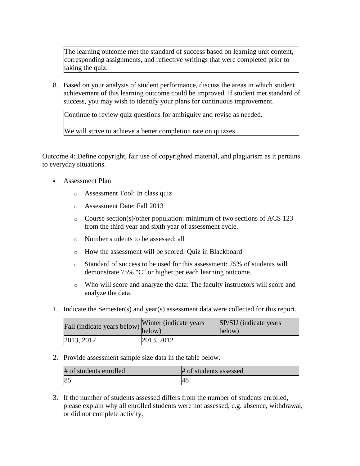The learning outcome met the standard of success based on learning unit content, corresponding assignments, and reflective writings that were completed prior to taking the quiz.

8. Based on your analysis of student performance, discuss the areas in which student achievement of this learning outcome could be improved. If student met standard of success, you may wish to identify your plans for continuous improvement.

Continue to review quiz questions for ambiguity and revise as needed.

We will strive to achieve a better completion rate on quizzes.

Outcome 4: Define copyright, fair use of copyrighted material, and plagiarism as it pertains to everyday situations.

- Assessment Plan
	- o Assessment Tool: In class quiz
	- o Assessment Date: Fall 2013
	- o Course section(s)/other population: minimum of two sections of ACS 123 from the third year and sixth year of assessment cycle.
	- o Number students to be assessed: all
	- o How the assessment will be scored: Quiz in Blackboard
	- o Standard of success to be used for this assessment: 75% of students will demonstrate 75% "C" or higher per each learning outcome.
	- o Who will score and analyze the data: The faculty instructors will score and analyze the data.
- 1. Indicate the Semester(s) and year(s) assessment data were collected for this report.

| Fall (indicate years below) below) | Winter (indicate years) | SP/SU (indicate years)<br>below) |
|------------------------------------|-------------------------|----------------------------------|
| 2013, 2012                         | 2013, 2012              |                                  |

2. Provide assessment sample size data in the table below.

| # of students enrolled | # of students assessed |
|------------------------|------------------------|
| 85                     | '4አ                    |

3. If the number of students assessed differs from the number of students enrolled, please explain why all enrolled students were not assessed, e.g. absence, withdrawal, or did not complete activity.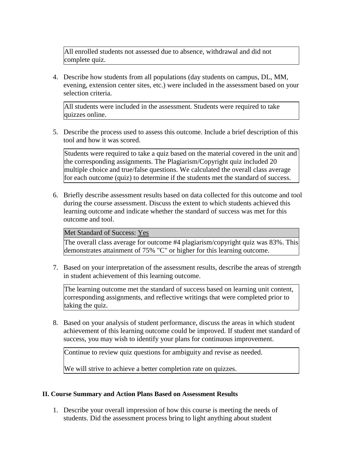All enrolled students not assessed due to absence, withdrawal and did not complete quiz.

4. Describe how students from all populations (day students on campus, DL, MM, evening, extension center sites, etc.) were included in the assessment based on your selection criteria.

All students were included in the assessment. Students were required to take quizzes online.

5. Describe the process used to assess this outcome. Include a brief description of this tool and how it was scored.

Students were required to take a quiz based on the material covered in the unit and the corresponding assignments. The Plagiarism/Copyright quiz included 20 multiple choice and true/false questions. We calculated the overall class average for each outcome (quiz) to determine if the students met the standard of success.

6. Briefly describe assessment results based on data collected for this outcome and tool during the course assessment. Discuss the extent to which students achieved this learning outcome and indicate whether the standard of success was met for this outcome and tool.

Met Standard of Success: Yes

The overall class average for outcome #4 plagiarism/copyright quiz was 83%. This demonstrates attainment of 75% "C" or higher for this learning outcome.

7. Based on your interpretation of the assessment results, describe the areas of strength in student achievement of this learning outcome.

The learning outcome met the standard of success based on learning unit content, corresponding assignments, and reflective writings that were completed prior to taking the quiz.

8. Based on your analysis of student performance, discuss the areas in which student achievement of this learning outcome could be improved. If student met standard of success, you may wish to identify your plans for continuous improvement.

Continue to review quiz questions for ambiguity and revise as needed.

We will strive to achieve a better completion rate on quizzes.

# **II. Course Summary and Action Plans Based on Assessment Results**

1. Describe your overall impression of how this course is meeting the needs of students. Did the assessment process bring to light anything about student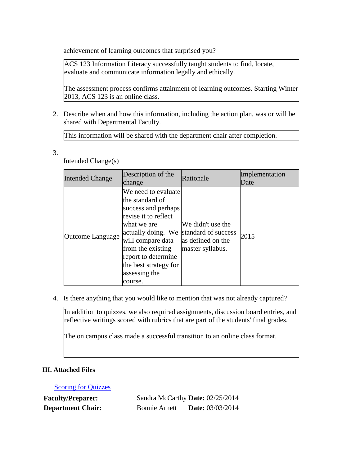achievement of learning outcomes that surprised you?

ACS 123 Information Literacy successfully taught students to find, locate, evaluate and communicate information legally and ethically.

The assessment process confirms attainment of learning outcomes. Starting Winter 2013, ACS 123 is an online class.

2. Describe when and how this information, including the action plan, was or will be shared with Departmental Faculty.

This information will be shared with the department chair after completion.

3.

Intended Change(s)

| <b>Intended Change</b> | Description of the<br>change                                                                                                                                                                                                                      | Rationale                                                                         | Implementation<br>Date |
|------------------------|---------------------------------------------------------------------------------------------------------------------------------------------------------------------------------------------------------------------------------------------------|-----------------------------------------------------------------------------------|------------------------|
| Outcome Language       | We need to evaluate<br>lthe standard of<br>success and perhaps<br>revise it to reflect<br>what we are<br>actually doing. We<br>will compare data<br>from the existing<br>report to determine<br>the best strategy for<br>assessing the<br>course. | We didn't use the<br>standard of success<br>as defined on the<br>master syllabus. | 2015                   |

4. Is there anything that you would like to mention that was not already captured?

In addition to quizzes, we also required assignments, discussion board entries, and reflective writings scored with rubrics that are part of the students' final grades.

The on campus class made a successful transition to an online class format.

# **III. Attached Files**

**[Scoring for Quizzes](documents/Final%20Report%20for%20Quizzes.xlsx)** 

**Faculty/Preparer:** Sandra McCarthy **Date:** 02/25/2014 **Department Chair:** Bonnie Arnett **Date:** 03/03/2014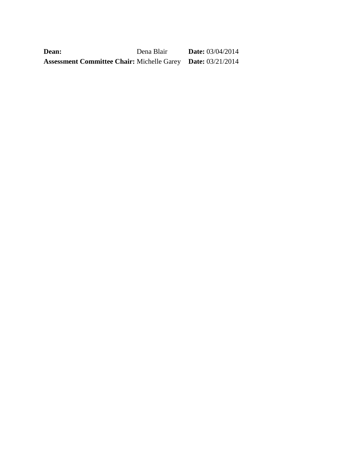| Dean:                                                              | Dena Blair | <b>Date:</b> $03/04/2014$ |
|--------------------------------------------------------------------|------------|---------------------------|
| <b>Assessment Committee Chair: Michelle Garey Date: 03/21/2014</b> |            |                           |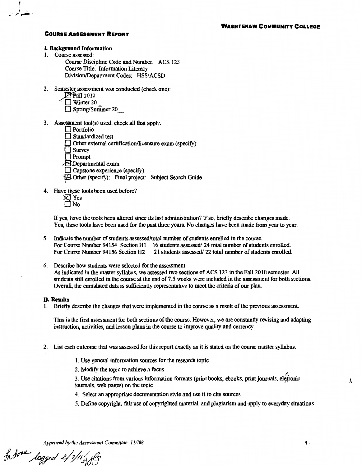#### L Background Information

1. Course assessed:

, 1, <sup>f</sup>- - *<sup>r</sup>*,.\_ ,

> Course Discipline Code and Number: ACS 123 Course Title: Information Literacy Division/Department Codes: HSS/ACSD

2. Semester assessment was conducted (check one):

|  | 2010 |  |
|--|------|--|
|  | − …  |  |

 $\perp$  Winter 20

Spring/Summer 20

- 3. Assessment tool(s) used: check all that applv.
	- $\Box$  Portfolio Standardized test Other external certification/licensure exam (specify):  $\Box$  Survey

**D** Prompt

;8:.Departmental exam

- $\Box$  Capstone experience (specify):
- *-JFl* Other (specify): Final project: Subject Search Guide
- 4. Have these tools been used before?
	- Yes No

If yes, have the tools been altered since its last administration? If so, briefly describe changes made. Yes, these tools have been used for the past three years. No changes have been made from year to year.

- 5. Indicate the number of students assessed/total number of students enrolled in the course. For Course Number 94154 Section H1 16 students assessed/ 24 total number of students enrolled.<br>For Course Number 94156 Section H2 21 students assessed/ 22 total number of students enrolled. 21 students assessed/ 22 total number of students enrolled.
- 6. Describe how students were selected for the assessment. As indicated in the master syllabus, we assessed two sections of ACS 123 in the Fall 2010 semester. All students still enrolled in the course at the end of 7. 5 weeks were included in the assessment for both sections. OveralL the cumulated data is sufficiently representative to meet the criteria of our plan.

#### II. Results

1. Briefly describe the changes that were implemented in the course as a result of the previous assessment.

This is the first assessment for both sections of the course. However, we are constantly revising and adapting instruction, activities, and lesson plans in the course to improve quality and currency.

- 2. List each outcome that was assessed for this report exactly as it is stated on the course master syllabus.
	- 1. Use general information sources for the research topic
	- 2. ModifY the topic to achieve a focus

3. Use citations from various information formats (print books, ebooks, print journals, eletronic journals. web pages) on the topic

- 4. Select an appropriate documentation style and use it to cite sources
- 5. Define copyright, fair use of copyrighted materiaL and plagiarism and apply to everyday situations

*Approved by the Assessment Committee 11/08* **1** 

Indone logged 2/1/11/18

X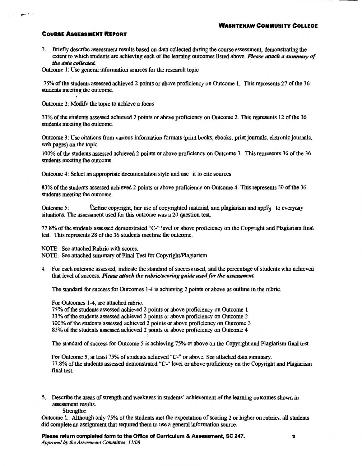$\mathbf{r}$ 

3. Briefly describe assessment results based on data collected during the course assessment, demonstrating the extent to which students are achieving each of the learning outcomes listed above. *Please attach a summary of the data collected.* 

Outcome 1: Use general infonnation sources for the research topic

75% of the students assessed achieved 2 points or above proficiency on Outcome 1. This represents 27 of the 36 students meeting the outcome.

Outcome 2: Modifv the topic to achieve a focus

33% of the students assessed achieved 2 points or above proficiency on Outcome 2. This represents 12 of the 36 students meeting the outcome.

Outcome 3: Use citations from various infonnation formats (print books, ebooks, print journals, eletronic journals, web pages) on the topic

100% of the students assessed achieved 2 points or above proficiencv on Outcome 3. This represents 36 of the 36 students meeting the outcome.

Outcome 4: Select an appropriate documentation style and use it to cite sources

83% of the students assessed achieved 2 points or above proficiency on Outcome 4. This represents 30 of the 36 students meeting the outcome.

Outcome 5: **Cefine copyright, fair use of copyrighted material, and plagiarism and apply** to everyday situations. The assessment used for this outcome was a 20 question test.

77.8% of the students assessed demonstrated "C-" level or above proficiency on the Copyright and Plagiarism final test. This represents 28 of the 36 students meeting the outcome.

NOTE: See attached Rubric with scores.

NOTE: See attached summary of Final Test for Copyright/Plagiarism

4. For each outcome assessed, indicate the standard of success used, and the percentage of students who achieved that level of success. *Please attach the rubric/scoring guide used for the assessment* 

The standard for success for Outcomes 1-4 is achieving 2 points or above as outline in the rubric.

For Outcomes 1-4, see attached rubric.

75% of the students assessed achieved 2 points or above proficiency on Outcome 1 33% of the students assessed achieved 2 points or above proficiency on Outcome 2 100% of the students assessed achieved 2 points or above proficiency on Outcome 3 83% of the students assessed achieved 2 points or above proficiency on Outcome 4

The standard of success for Outcome *5* is achieving 75% or above on the Copyright and Plagiarism final test.

For Outcome *5,* at least 75% of students achieved "C-" or above. See attached data summary. 77.8% of the students assessed demonstrated "C-" level or above proficiency on the Copyright and Plagiarism final test.

5. Describe the areas of strength and weakness in students' achievement of the learning outcomes shown in assessment results.

Strengths:

Outcome 1: Although only 75% of the students met the expectation of scoring 2 or higher on rubrics, all students did complete an assigmnent that required them to use a general infonnation source.

Please return completed form to the Office of Curriculum & Assessment, SC 247. *Approved by the Assessment Committee 11108*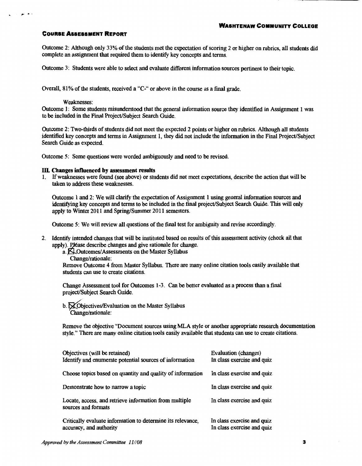~· .. '

Outcome 2: Although only 33% of the students met the expectation of scoring 2 or higher on rubrics, all students did complete an assignment that required them to identify key concepts and terms.

Outcome 3: Students were able to select and evaluate different information sources pertinent to their topic.

Overall, 81% of the students, received a "C-" or above in the course as a final grade.

#### Weaknesses:

Outcome 1: Some students misunderstood that the general information source they identified in Assignment 1 was to be included in the Final Project/Subject Search Guide.

Outcome 2: Two-thirds of students did not meet the expected 2 points or higher on rubrics. Although all students identified key concepts and terms in Assignment 1, they did not include the information in the Final Project/Subject Search Guide as expected.

Outcome 5: Some questions were worded ambiguously and need to be revised.

#### IlL Changes influenced by assessment results

1. If weaknesses were found (see above) or students did not meet expectations, describe the action that will be taken to address these weaknesses.

Outcome 1 and 2: We will clarify the expectation of Assignment 1 using general information sources and identifying key concepts and terms to be included in the final project/Subject Search Guide. This will only apply to Winter 2011 and Spring/Summer 2011 semesters.

Outcome 5: We will review all questions of the final test for ambiguity and revise accordingly.

2. Identify intended changes that will be instituted based on results of this assessment activity (check all that apply). Please describe changes and give rationale for change.

a.  $\bigtimes$ Outcomes/Assessments on the Master Syllabus

Change/rationale:

Remove Outcome 4 from Master Syllabus. There are many online citation tools easily available that students can use to create citations.

Change Assessment tool for Outcomes 1-3. Can be better evaluated as a process than a final project/Subject Search Guide.

 $b.$   $\bigtimes$  Objectives/Evaluation on the Master Syllabus Change/rationale:

Remove the objective "Document sources using MLA style or another appropriate research documentation style." There are many online citation tools easily available that students can use to create citations.

| Objectives (will be retained)<br>Identify and enumerate potential sources of information | Evaluation (changes)<br>In class exercise and quiz       |  |
|------------------------------------------------------------------------------------------|----------------------------------------------------------|--|
| Choose topics based on quantity and quality of information                               | In class exercise and quiz                               |  |
| Demonstrate how to narrow a topic                                                        | In class exercise and quiz                               |  |
| Locate, access, and retrieve information from multiple<br>sources and formats            | In class exercise and quiz                               |  |
| Critically evaluate information to determine its relevance,<br>accuracy, and authority   | In class exercise and quiz<br>In class exercise and quiz |  |